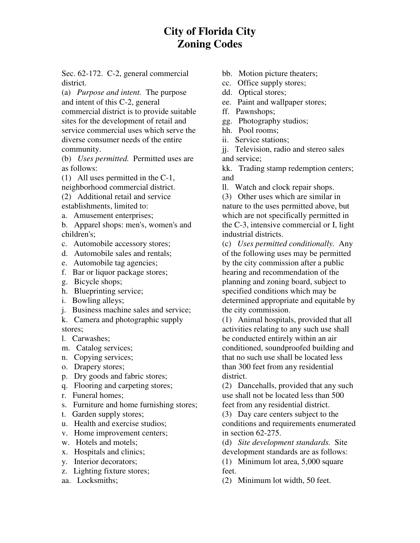## **City of Florida City Zoning Codes**

 Sec. 62-172. C-2, general commercial district.

 (a) *Purpose and intent.* The purpose and intent of this C-2, general commercial district is to provide suitable sites for the development of retail and service commercial uses which serve the diverse consumer needs of the entire community.

 community. (b) *Uses permitted.* Permitted uses are as follows:

 (1) All uses permitted in the C-1, neighborhood commercial district.

(2) Additional retail and service

 establishments, limited to: a. Amusement enterprises;

 b. Apparel shops: men's, women's and children's;

- c. Automobile accessory stores;
- d. Automobile sales and rentals;
- e. Automobile tag agencies;
- f. Bar or liquor package stores;
- g. Bicycle shops;
- h. Blueprinting service;
- i. Bowling alleys;
- j. Business machine sales and service;

 k. Camera and photographic supply stores;

- l. Carwashes;
- m. Catalog services;
- n. Copying services;
- o. Drapery stores;
- p. Dry goods and fabric stores;
- q. Flooring and carpeting stores;
- r. Funeral homes;
- s. Furniture and home furnishing stores;
- t. Garden supply stores;
- u. Health and exercise studios;
- v. Home improvement centers;
- w. Hotels and motels;
- x. Hospitals and clinics;
- y. Interior decorators;
- z. Lighting fixture stores;
- aa. Locksmiths;
- bb. Motion picture theaters;
- cc. Office supply stores;
- dd. Optical stores;
- ee. Paint and wallpaper stores;
- ff. Pawnshops;
- gg. Photography studios;
- hh. Pool rooms;
- ii. Service stations;

 jj. Television, radio and stereo sales and service;

 kk. Trading stamp redemption centers; and

ll. Watch and clock repair shops.

 (3) Other uses which are similar in nature to the uses permitted above, but which are not specifically permitted in the C-3, intensive commercial or I, light industrial districts.

 (c) *Uses permitted conditionally.* Any of the following uses may be permitted by the city commission after a public hearing and recommendation of the planning and zoning board, subject to specified conditions which may be determined appropriate and equitable by the city commission.

 (1) Animal hospitals, provided that all activities relating to any such use shall be conducted entirely within an air conditioned, soundproofed building and that no such use shall be located less than 300 feet from any residential district.

 (2) Dancehalls, provided that any such use shall not be located less than 500 feet from any residential district.

 (3) Day care centers subject to the conditions and requirements enumerated in section 62-275.

 (d) *Site development standards.* Site development standards are as follows:

 (1) Minimum lot area, 5,000 square feet.

(2) Minimum lot width, 50 feet.